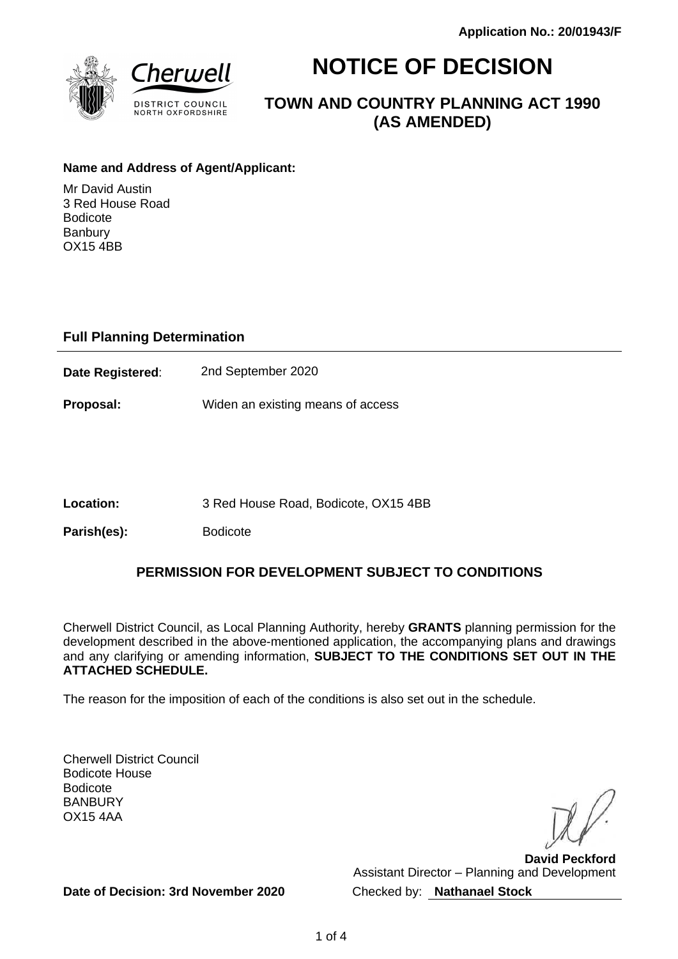

# **NOTICE OF DECISION**

**TOWN AND COUNTRY PLANNING ACT 1990 (AS AMENDED)**

#### **Name and Address of Agent/Applicant:**

Mr David Austin 3 Red House Road Bodicote **Banbury** OX15 4BB

## **Full Planning Determination**

**Date Registered**: 2nd September 2020

**Proposal:** Widen an existing means of access

**Location:** 3 Red House Road, Bodicote, OX15 4BB

Parish(es): Bodicote

## **PERMISSION FOR DEVELOPMENT SUBJECT TO CONDITIONS**

Cherwell District Council, as Local Planning Authority, hereby **GRANTS** planning permission for the development described in the above-mentioned application, the accompanying plans and drawings and any clarifying or amending information, **SUBJECT TO THE CONDITIONS SET OUT IN THE ATTACHED SCHEDULE.**

The reason for the imposition of each of the conditions is also set out in the schedule.

Cherwell District Council Bodicote House Bodicote BANBURY OX15 4AA

**David Peckford** Assistant Director – Planning and Development Checked by: **Nathanael Stock**

**Date of Decision: 3rd November 2020**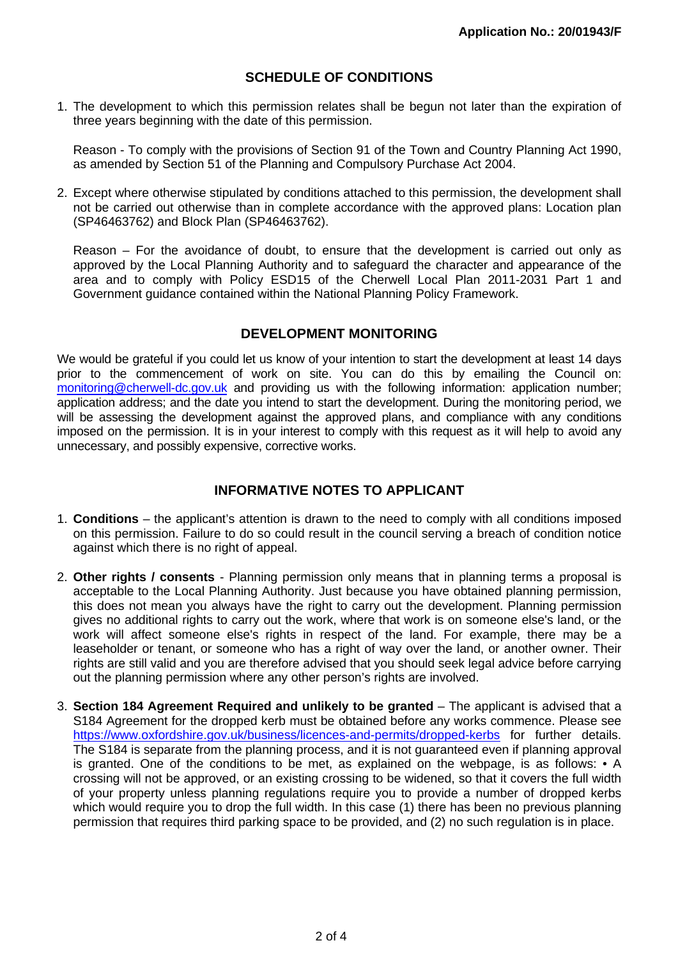## **SCHEDULE OF CONDITIONS**

1. The development to which this permission relates shall be begun not later than the expiration of three years beginning with the date of this permission.

Reason - To comply with the provisions of Section 91 of the Town and Country Planning Act 1990, as amended by Section 51 of the Planning and Compulsory Purchase Act 2004.

2. Except where otherwise stipulated by conditions attached to this permission, the development shall not be carried out otherwise than in complete accordance with the approved plans: Location plan (SP46463762) and Block Plan (SP46463762).

Reason – For the avoidance of doubt, to ensure that the development is carried out only as approved by the Local Planning Authority and to safeguard the character and appearance of the area and to comply with Policy ESD15 of the Cherwell Local Plan 2011-2031 Part 1 and Government guidance contained within the National Planning Policy Framework.

#### **DEVELOPMENT MONITORING**

We would be grateful if you could let us know of your intention to start the development at least 14 days prior to the commencement of work on site. You can do this by emailing the Council on: monitoring@cherwell-dc.gov.uk and providing us with the following information: application number; application address; and the date you intend to start the development. During the monitoring period, we will be assessing the development against the approved plans, and compliance with any conditions imposed on the permission. It is in your interest to comply with this request as it will help to avoid any unnecessary, and possibly expensive, corrective works.

## **INFORMATIVE NOTES TO APPLICANT**

- 1. **Conditions**  the applicant's attention is drawn to the need to comply with all conditions imposed on this permission. Failure to do so could result in the council serving a breach of condition notice against which there is no right of appeal.
- 2. **Other rights / consents** Planning permission only means that in planning terms a proposal is acceptable to the Local Planning Authority. Just because you have obtained planning permission, this does not mean you always have the right to carry out the development. Planning permission gives no additional rights to carry out the work, where that work is on someone else's land, or the work will affect someone else's rights in respect of the land. For example, there may be a leaseholder or tenant, or someone who has a right of way over the land, or another owner. Their rights are still valid and you are therefore advised that you should seek legal advice before carrying out the planning permission where any other person's rights are involved.
- 3. **Section 184 Agreement Required and unlikely to be granted** The applicant is advised that a S184 Agreement for the dropped kerb must be obtained before any works commence. Please see https://www.oxfordshire.gov.uk/business/licences-and-permits/dropped-kerbs for further details. The S184 is separate from the planning process, and it is not guaranteed even if planning approval is granted. One of the conditions to be met, as explained on the webpage, is as follows: • A crossing will not be approved, or an existing crossing to be widened, so that it covers the full width of your property unless planning regulations require you to provide a number of dropped kerbs which would require you to drop the full width. In this case (1) there has been no previous planning permission that requires third parking space to be provided, and (2) no such regulation is in place.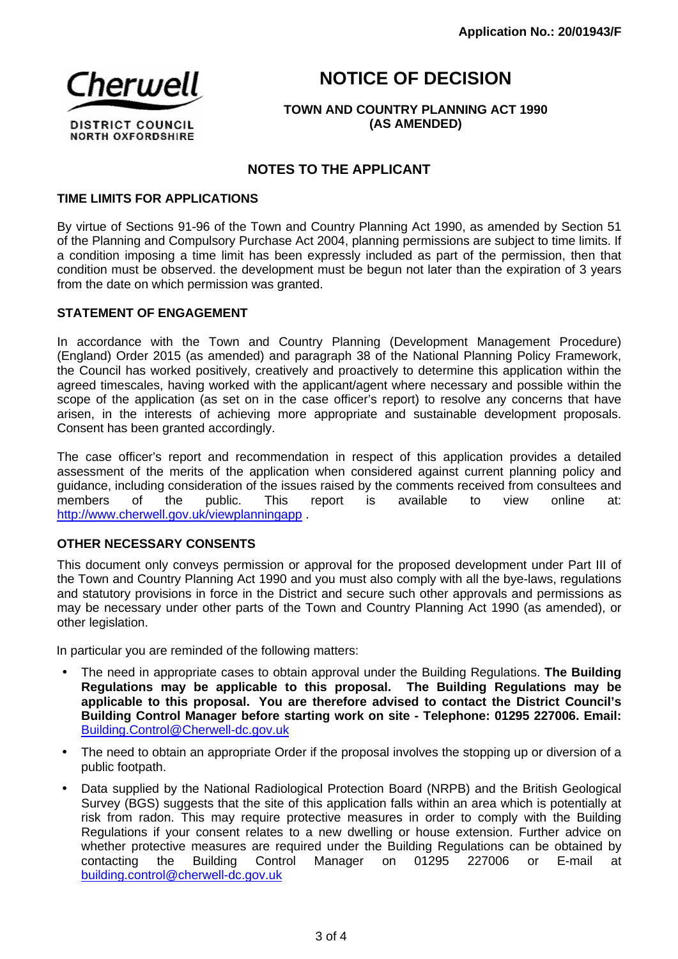## **NOTICE OF DECISION**



**TOWN AND COUNTRY PLANNING ACT 1990 (AS AMENDED)**

## **NOTES TO THE APPLICANT**

#### **TIME LIMITS FOR APPLICATIONS**

By virtue of Sections 91-96 of the Town and Country Planning Act 1990, as amended by Section 51 of the Planning and Compulsory Purchase Act 2004, planning permissions are subject to time limits. If a condition imposing a time limit has been expressly included as part of the permission, then that condition must be observed. the development must be begun not later than the expiration of 3 years from the date on which permission was granted.

#### **STATEMENT OF ENGAGEMENT**

In accordance with the Town and Country Planning (Development Management Procedure) (England) Order 2015 (as amended) and paragraph 38 of the National Planning Policy Framework, the Council has worked positively, creatively and proactively to determine this application within the agreed timescales, having worked with the applicant/agent where necessary and possible within the scope of the application (as set on in the case officer's report) to resolve any concerns that have arisen, in the interests of achieving more appropriate and sustainable development proposals. Consent has been granted accordingly.

The case officer's report and recommendation in respect of this application provides a detailed assessment of the merits of the application when considered against current planning policy and guidance, including consideration of the issues raised by the comments received from consultees and members of the public. This report is available to view online at: http://www.cherwell.gov.uk/viewplanningapp .

#### **OTHER NECESSARY CONSENTS**

This document only conveys permission or approval for the proposed development under Part III of the Town and Country Planning Act 1990 and you must also comply with all the bye-laws, regulations and statutory provisions in force in the District and secure such other approvals and permissions as may be necessary under other parts of the Town and Country Planning Act 1990 (as amended), or other legislation.

In particular you are reminded of the following matters:

- The need in appropriate cases to obtain approval under the Building Regulations. **The Building Regulations may be applicable to this proposal. The Building Regulations may be applicable to this proposal. You are therefore advised to contact the District Council's Building Control Manager before starting work on site - Telephone: 01295 227006. Email:**  Building.Control@Cherwell-dc.gov.uk
- The need to obtain an appropriate Order if the proposal involves the stopping up or diversion of a public footpath.
- Data supplied by the National Radiological Protection Board (NRPB) and the British Geological Survey (BGS) suggests that the site of this application falls within an area which is potentially at risk from radon. This may require protective measures in order to comply with the Building Regulations if your consent relates to a new dwelling or house extension. Further advice on whether protective measures are required under the Building Regulations can be obtained by contacting the Building Control Manager on 01295 227006 or E-mail at building.control@cherwell-dc.gov.uk